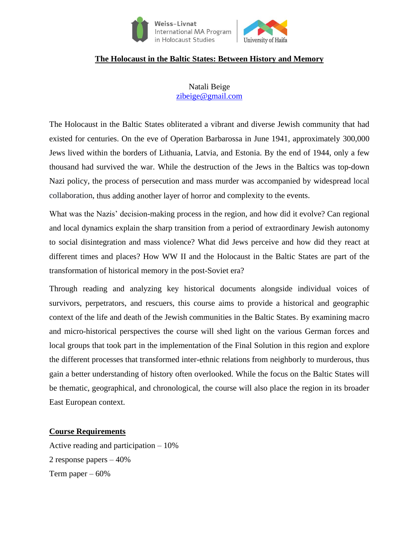

# **The Holocaust in the Baltic States: Between History and Memory**

Natali Beige [zibeige@gmail.com](mailto:zibeige@gmail.com)

The Holocaust in the Baltic States obliterated a vibrant and diverse Jewish community that had existed for centuries. On the eve of Operation Barbarossa in June 1941, approximately 300,000 Jews lived within the borders of Lithuania, Latvia, and Estonia. By the end of 1944, only a few thousand had survived the war. While the destruction of the Jews in the Baltics was top-down Nazi policy, the process of persecution and mass murder was accompanied by widespread local collaboration, thus adding another layer of horror and complexity to the events.

What was the Nazis' decision-making process in the region, and how did it evolve? Can regional and local dynamics explain the sharp transition from a period of extraordinary Jewish autonomy to social disintegration and mass violence? What did Jews perceive and how did they react at different times and places? How WW II and the Holocaust in the Baltic States are part of the transformation of historical memory in the post-Soviet era?

Through reading and analyzing key historical documents alongside individual voices of survivors, perpetrators, and rescuers, this course aims to provide a historical and geographic context of the life and death of the Jewish communities in the Baltic States. By examining macro and micro-historical perspectives the course will shed light on the various German forces and local groups that took part in the implementation of the Final Solution in this region and explore the different processes that transformed inter-ethnic relations from neighborly to murderous, thus gain a better understanding of history often overlooked. While the focus on the Baltic States will be thematic, geographical, and chronological, the course will also place the region in its broader East European context.

### **Course Requirements**

Active reading and participation – 10% 2 response papers – 40% Term paper  $-60%$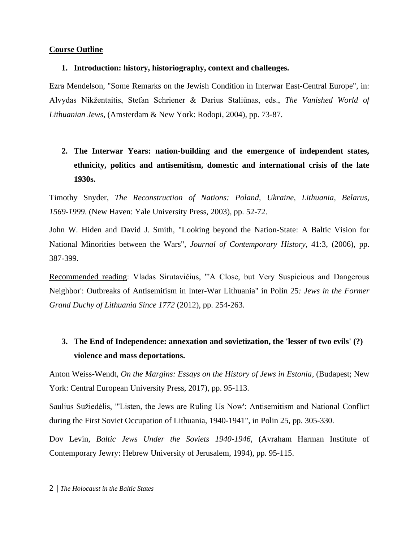### **Course Outline**

### **1. Introduction: history, historiography, context and challenges.**

Ezra Mendelson, "Some Remarks on the Jewish Condition in Interwar East-Central Europe", in: Alvydas Nikžentaitis, Stefan Schriener & Darius Staliūnas, eds., *The Vanished World of Lithuanian Jews*, (Amsterdam & New York: Rodopi, 2004), pp. 73-87.

## **2. The Interwar Years: nation-building and the emergence of independent states, ethnicity, politics and antisemitism, domestic and international crisis of the late 1930s.**

Timothy Snyder, *The Reconstruction of Nations: Poland, Ukraine, Lithuania, Belarus, 1569-1999*. (New Haven: Yale University Press, 2003), pp. 52-72.

John W. Hiden and David J. Smith, "Looking beyond the Nation-State: A Baltic Vision for National Minorities between the Wars", *Journal of Contemporary History*, 41:3, (2006), pp. 387-399.

Recommended reading: Vladas Sirutavičius, "'A Close, but Very Suspicious and Dangerous Neighbor': Outbreaks of Antisemitism in Inter-War Lithuania" in Polin 25*: Jews in the Former Grand Duchy of Lithuania Since 1772* (2012), pp. 254-263.

### **3. The End of Independence: annexation and sovietization, the 'lesser of two evils' (?) violence and mass deportations.**

Anton Weiss-Wendt, *On the Margins: Essays on the History of Jews in Estonia*, (Budapest; New York: Central European University Press, 2017), pp. 95-113.

Saulius Sužiedėlis, "'Listen, the Jews are Ruling Us Now': Antisemitism and National Conflict during the First Soviet Occupation of Lithuania, 1940-1941", in Polin 25, pp. 305-330.

Dov Levin, *Baltic Jews Under the Soviets 1940-1946*, (Avraham Harman Institute of Contemporary Jewry: Hebrew University of Jerusalem, 1994), pp. 95-115.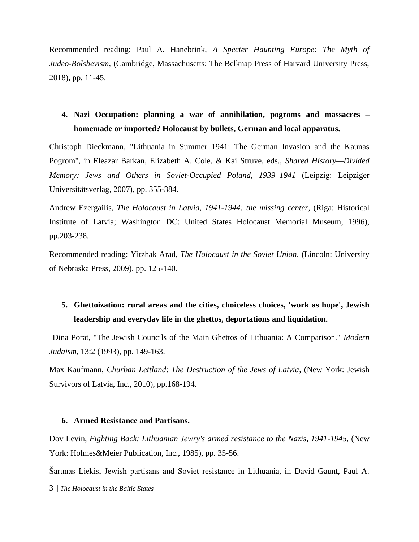Recommended reading: Paul A. Hanebrink, *A Specter Haunting Europe: The Myth of Judeo-Bolshevism*, (Cambridge, Massachusetts: The Belknap Press of Harvard University Press, 2018), pp. 11-45.

### **4. Nazi Occupation: planning a war of annihilation, pogroms and massacres – homemade or imported? Holocaust by bullets, German and local apparatus.**

Christoph Dieckmann, "Lithuania in Summer 1941: The German Invasion and the Kaunas Pogrom", in Eleazar Barkan, Elizabeth A. Cole, & Kai Struve, eds., *Shared History—Divided Memory: Jews and Others in Soviet-Occupied Poland, 1939–1941* (Leipzig: Leipziger Universitätsverlag, 2007), pp. 355-384.

Andrew Ezergailis, *The Holocaust in Latvia, 1941-1944: the missing center*, (Riga: Historical Institute of Latvia; Washington DC: United States Holocaust Memorial Museum, 1996), pp.203-238.

Recommended reading: Yitzhak Arad, *The Holocaust in the Soviet Union*, (Lincoln: University of Nebraska Press, 2009), pp. 125-140.

### **5. Ghettoization: rural areas and the cities, choiceless choices, 'work as hope', Jewish leadership and everyday life in the ghettos, deportations and liquidation.**

Dina Porat, "The Jewish Councils of the Main Ghettos of Lithuania: A Comparison." *Modern Judaism*, 13:2 (1993), pp. 149-163.

Max Kaufmann, *Churban Lettland*: *The Destruction of the Jews of Latvia*, (New York: Jewish Survivors of Latvia, Inc., 2010), pp.168-194.

#### **6. Armed Resistance and Partisans.**

Dov Levin, *Fighting Back: Lithuanian Jewry's armed resistance to the Nazis, 1941-1945*, (New York: Holmes&Meier Publication, Inc., 1985), pp. 35-56.

Šarūnas Liekis, Jewish partisans and Soviet resistance in Lithuania, in David Gaunt, Paul A.

3 | *The Holocaust in the Baltic States*